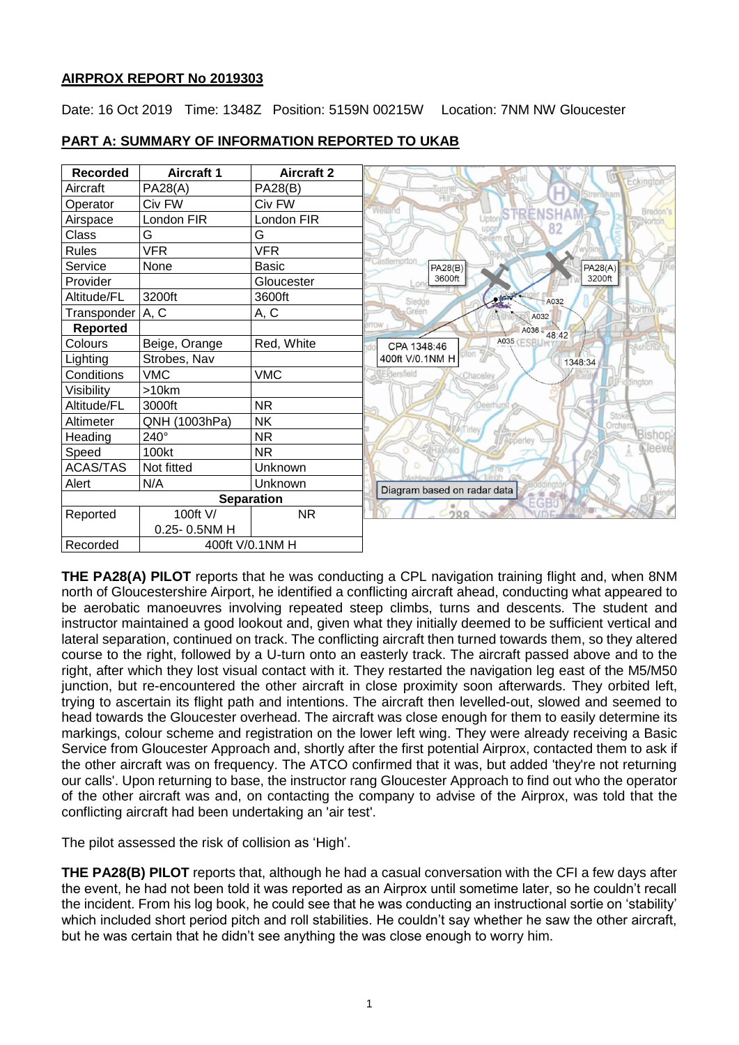## **AIRPROX REPORT No 2019303**

Date: 16 Oct 2019 Time: 1348Z Position: 5159N 00215W Location: 7NM NW Gloucester

| <b>Recorded</b>   | <b>Aircraft 1</b> | <b>Aircraft 2</b> |                                                       |
|-------------------|-------------------|-------------------|-------------------------------------------------------|
| Aircraft          | PA28(A)           | <b>PA28(B)</b>    | Strensham                                             |
| Operator          | Civ FW            | Civ FW            | Welland                                               |
| Airspace          | London FIR        | London FIR        | ENSHA<br>Uptor                                        |
| Class             | G                 | G                 |                                                       |
| <b>Rules</b>      | <b>VFR</b>        | <b>VFR</b>        |                                                       |
| Service           | None              | <b>Basic</b>      | Castlemorton<br>PA28(B)<br>PA28(A)                    |
| Provider          |                   | Gloucester        | 3600ft<br>3200ft                                      |
| Altitude/FL       | 3200ft            | 3600ft            | Sledde<br>A032                                        |
| Transponder A, C  |                   | A, C              | Green<br>A032                                         |
| <b>Reported</b>   |                   |                   | itow<br>A036 - 48:42                                  |
| Colours           | Beige, Orange     | Red, White        | <b>A035 (ESBU</b><br>CPA 1348:46                      |
| Lighting          | Strobes, Nav      |                   | oton *<br>400ft V/0.1NM H<br>1348:34                  |
| Conditions        | <b>VMC</b>        | <b>VMC</b>        | <b>IEidersfield</b><br>Chaceley<br><b>JEiddington</b> |
| Visibility        | >10km             |                   |                                                       |
| Altitude/FL       | 3000ft            | <b>NR</b>         |                                                       |
| Altimeter         | QNH (1003hPa)     | <b>NK</b>         | Stoke<br><b>Orchard</b>                               |
| Heading           | 240°              | <b>NR</b>         | Apperley                                              |
| Speed             | 100kt             | NR.               |                                                       |
| <b>ACAS/TAS</b>   | Not fitted        | Unknown           |                                                       |
| Alert             | N/A               | Unknown           | Diagram based on radar data                           |
| <b>Separation</b> |                   |                   | EGB <sup>2</sup>                                      |
| Reported          | 100ft V/          | <b>NR</b>         | ηö                                                    |
|                   | 0.25-0.5NM H      |                   |                                                       |
| Recorded          |                   | 400ft V/0.1NM H   |                                                       |

## **PART A: SUMMARY OF INFORMATION REPORTED TO UKAB**

**THE PA28(A) PILOT** reports that he was conducting a CPL navigation training flight and, when 8NM north of Gloucestershire Airport, he identified a conflicting aircraft ahead, conducting what appeared to be aerobatic manoeuvres involving repeated steep climbs, turns and descents. The student and instructor maintained a good lookout and, given what they initially deemed to be sufficient vertical and lateral separation, continued on track. The conflicting aircraft then turned towards them, so they altered course to the right, followed by a U-turn onto an easterly track. The aircraft passed above and to the right, after which they lost visual contact with it. They restarted the navigation leg east of the M5/M50 junction, but re-encountered the other aircraft in close proximity soon afterwards. They orbited left, trying to ascertain its flight path and intentions. The aircraft then levelled-out, slowed and seemed to head towards the Gloucester overhead. The aircraft was close enough for them to easily determine its markings, colour scheme and registration on the lower left wing. They were already receiving a Basic Service from Gloucester Approach and, shortly after the first potential Airprox, contacted them to ask if the other aircraft was on frequency. The ATCO confirmed that it was, but added 'they're not returning our calls'. Upon returning to base, the instructor rang Gloucester Approach to find out who the operator of the other aircraft was and, on contacting the company to advise of the Airprox, was told that the conflicting aircraft had been undertaking an 'air test'.

The pilot assessed the risk of collision as 'High'.

**THE PA28(B) PILOT** reports that, although he had a casual conversation with the CFI a few days after the event, he had not been told it was reported as an Airprox until sometime later, so he couldn't recall the incident. From his log book, he could see that he was conducting an instructional sortie on 'stability' which included short period pitch and roll stabilities. He couldn't say whether he saw the other aircraft, but he was certain that he didn't see anything the was close enough to worry him.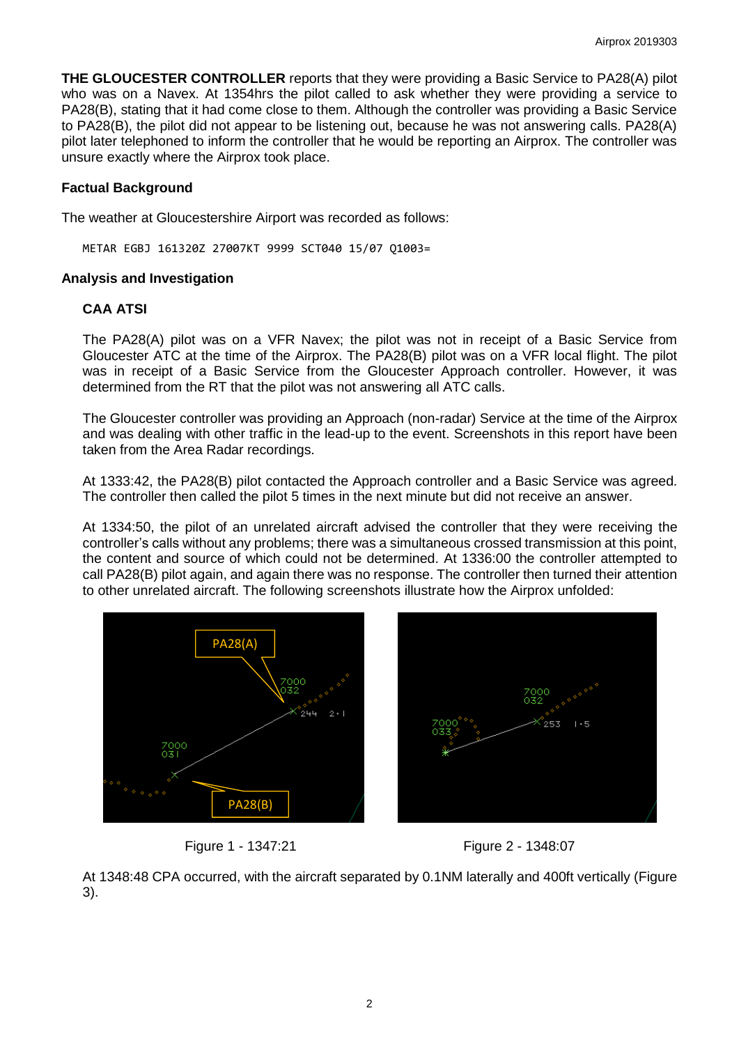**THE GLOUCESTER CONTROLLER** reports that they were providing a Basic Service to PA28(A) pilot who was on a Navex. At 1354hrs the pilot called to ask whether they were providing a service to PA28(B), stating that it had come close to them. Although the controller was providing a Basic Service to PA28(B), the pilot did not appear to be listening out, because he was not answering calls. PA28(A) pilot later telephoned to inform the controller that he would be reporting an Airprox. The controller was unsure exactly where the Airprox took place.

# **Factual Background**

The weather at Gloucestershire Airport was recorded as follows:

METAR EGBJ 161320Z 27007KT 9999 SCT040 15/07 Q1003=

## **Analysis and Investigation**

# **CAA ATSI**

The PA28(A) pilot was on a VFR Navex; the pilot was not in receipt of a Basic Service from Gloucester ATC at the time of the Airprox. The PA28(B) pilot was on a VFR local flight. The pilot was in receipt of a Basic Service from the Gloucester Approach controller. However, it was determined from the RT that the pilot was not answering all ATC calls.

The Gloucester controller was providing an Approach (non-radar) Service at the time of the Airprox and was dealing with other traffic in the lead-up to the event. Screenshots in this report have been taken from the Area Radar recordings.

At 1333:42, the PA28(B) pilot contacted the Approach controller and a Basic Service was agreed. The controller then called the pilot 5 times in the next minute but did not receive an answer.

At 1334:50, the pilot of an unrelated aircraft advised the controller that they were receiving the controller's calls without any problems; there was a simultaneous crossed transmission at this point, the content and source of which could not be determined. At 1336:00 the controller attempted to call PA28(B) pilot again, and again there was no response. The controller then turned their attention to other unrelated aircraft. The following screenshots illustrate how the Airprox unfolded:







At 1348:48 CPA occurred, with the aircraft separated by 0.1NM laterally and 400ft vertically (Figure 3).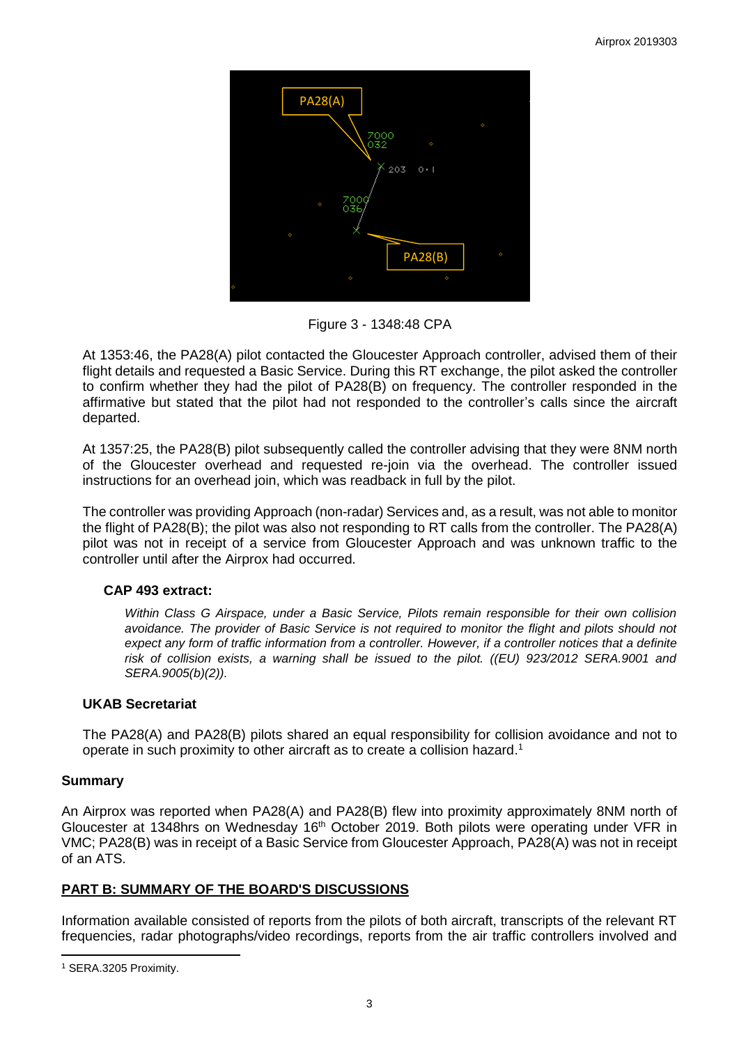

Figure 3 - 1348:48 CPA

At 1353:46, the PA28(A) pilot contacted the Gloucester Approach controller, advised them of their flight details and requested a Basic Service. During this RT exchange, the pilot asked the controller to confirm whether they had the pilot of PA28(B) on frequency. The controller responded in the affirmative but stated that the pilot had not responded to the controller's calls since the aircraft departed.

At 1357:25, the PA28(B) pilot subsequently called the controller advising that they were 8NM north of the Gloucester overhead and requested re-join via the overhead. The controller issued instructions for an overhead join, which was readback in full by the pilot.

The controller was providing Approach (non-radar) Services and, as a result, was not able to monitor the flight of PA28(B); the pilot was also not responding to RT calls from the controller. The PA28(A) pilot was not in receipt of a service from Gloucester Approach and was unknown traffic to the controller until after the Airprox had occurred.

## **CAP 493 extract:**

*Within Class G Airspace, under a Basic Service, Pilots remain responsible for their own collision avoidance. The provider of Basic Service is not required to monitor the flight and pilots should not*  expect any form of traffic information from a controller. However, if a controller notices that a definite *risk of collision exists, a warning shall be issued to the pilot. ((EU) 923/2012 SERA.9001 and SERA.9005(b)(2)).*

## **UKAB Secretariat**

The PA28(A) and PA28(B) pilots shared an equal responsibility for collision avoidance and not to operate in such proximity to other aircraft as to create a collision hazard.<sup>1</sup>

## **Summary**

An Airprox was reported when PA28(A) and PA28(B) flew into proximity approximately 8NM north of Gloucester at 1348hrs on Wednesday 16<sup>th</sup> October 2019. Both pilots were operating under VFR in VMC; PA28(B) was in receipt of a Basic Service from Gloucester Approach, PA28(A) was not in receipt of an ATS.

## **PART B: SUMMARY OF THE BOARD'S DISCUSSIONS**

Information available consisted of reports from the pilots of both aircraft, transcripts of the relevant RT frequencies, radar photographs/video recordings, reports from the air traffic controllers involved and

 $\overline{\phantom{a}}$ <sup>1</sup> SERA.3205 Proximity.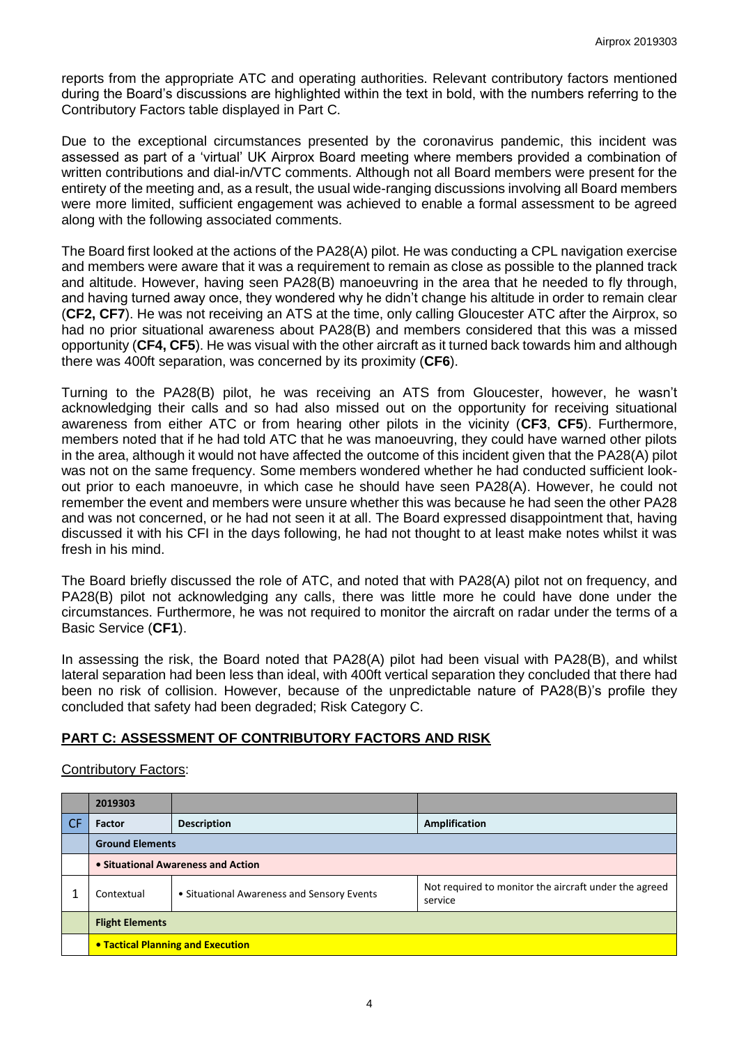reports from the appropriate ATC and operating authorities. Relevant contributory factors mentioned during the Board's discussions are highlighted within the text in bold, with the numbers referring to the Contributory Factors table displayed in Part C.

Due to the exceptional circumstances presented by the coronavirus pandemic, this incident was assessed as part of a 'virtual' UK Airprox Board meeting where members provided a combination of written contributions and dial-in/VTC comments. Although not all Board members were present for the entirety of the meeting and, as a result, the usual wide-ranging discussions involving all Board members were more limited, sufficient engagement was achieved to enable a formal assessment to be agreed along with the following associated comments.

The Board first looked at the actions of the PA28(A) pilot. He was conducting a CPL navigation exercise and members were aware that it was a requirement to remain as close as possible to the planned track and altitude. However, having seen PA28(B) manoeuvring in the area that he needed to fly through, and having turned away once, they wondered why he didn't change his altitude in order to remain clear (**CF2, CF7**). He was not receiving an ATS at the time, only calling Gloucester ATC after the Airprox, so had no prior situational awareness about PA28(B) and members considered that this was a missed opportunity (**CF4, CF5**). He was visual with the other aircraft as it turned back towards him and although there was 400ft separation, was concerned by its proximity (**CF6**).

Turning to the PA28(B) pilot, he was receiving an ATS from Gloucester, however, he wasn't acknowledging their calls and so had also missed out on the opportunity for receiving situational awareness from either ATC or from hearing other pilots in the vicinity (**CF3**, **CF5**). Furthermore, members noted that if he had told ATC that he was manoeuvring, they could have warned other pilots in the area, although it would not have affected the outcome of this incident given that the PA28(A) pilot was not on the same frequency. Some members wondered whether he had conducted sufficient lookout prior to each manoeuvre, in which case he should have seen PA28(A). However, he could not remember the event and members were unsure whether this was because he had seen the other PA28 and was not concerned, or he had not seen it at all. The Board expressed disappointment that, having discussed it with his CFI in the days following, he had not thought to at least make notes whilst it was fresh in his mind.

The Board briefly discussed the role of ATC, and noted that with PA28(A) pilot not on frequency, and PA28(B) pilot not acknowledging any calls, there was little more he could have done under the circumstances. Furthermore, he was not required to monitor the aircraft on radar under the terms of a Basic Service (**CF1**).

In assessing the risk, the Board noted that PA28(A) pilot had been visual with PA28(B), and whilst lateral separation had been less than ideal, with 400ft vertical separation they concluded that there had been no risk of collision. However, because of the unpredictable nature of PA28(B)'s profile they concluded that safety had been degraded; Risk Category C.

## **PART C: ASSESSMENT OF CONTRIBUTORY FACTORS AND RISK**

#### Contributory Factors:

|           | 2019303                                  |                                            |                                                                  |  |  |  |
|-----------|------------------------------------------|--------------------------------------------|------------------------------------------------------------------|--|--|--|
| <b>CF</b> | Factor                                   | <b>Description</b>                         | Amplification                                                    |  |  |  |
|           | <b>Ground Elements</b>                   |                                            |                                                                  |  |  |  |
|           | • Situational Awareness and Action       |                                            |                                                                  |  |  |  |
|           | Contextual                               | • Situational Awareness and Sensory Events | Not required to monitor the aircraft under the agreed<br>service |  |  |  |
|           | <b>Flight Elements</b>                   |                                            |                                                                  |  |  |  |
|           | <b>• Tactical Planning and Execution</b> |                                            |                                                                  |  |  |  |